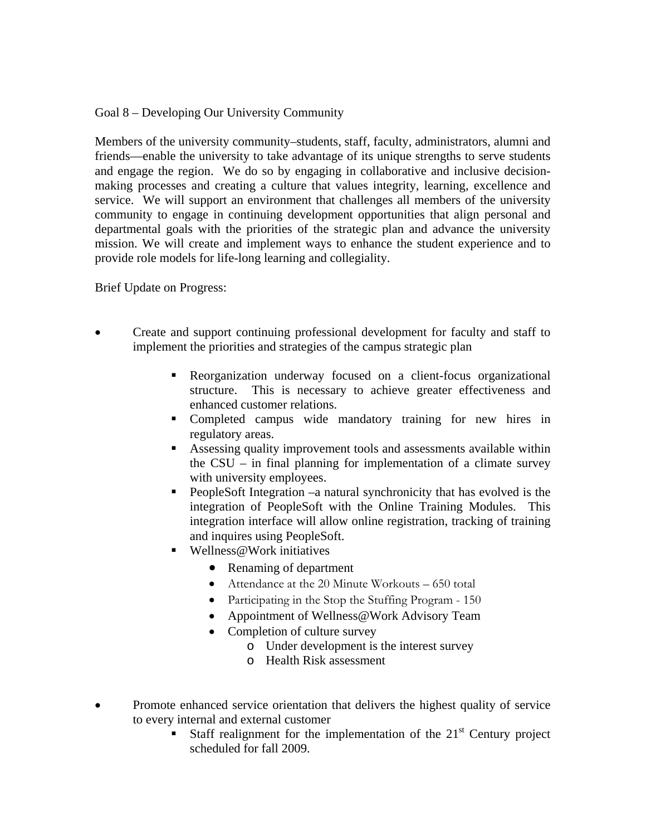Goal 8 – Developing Our University Community

Members of the university community–students, staff, faculty, administrators, alumni and friends—enable the university to take advantage of its unique strengths to serve students and engage the region. We do so by engaging in collaborative and inclusive decisionmaking processes and creating a culture that values integrity, learning, excellence and service. We will support an environment that challenges all members of the university community to engage in continuing development opportunities that align personal and departmental goals with the priorities of the strategic plan and advance the university mission. We will create and implement ways to enhance the student experience and to provide role models for life-long learning and collegiality.

Brief Update on Progress:

- Create and support continuing professional development for faculty and staff to implement the priorities and strategies of the campus strategic plan
	- Reorganization underway focused on a client-focus organizational structure. This is necessary to achieve greater effectiveness and enhanced customer relations.
	- Completed campus wide mandatory training for new hires in regulatory areas.
	- Assessing quality improvement tools and assessments available within the CSU – in final planning for implementation of a climate survey with university employees.
	- PeopleSoft Integration –a natural synchronicity that has evolved is the integration of PeopleSoft with the Online Training Modules. This integration interface will allow online registration, tracking of training and inquires using PeopleSoft.
	- Wellness@Work initiatives
		- Renaming of department
		- Attendance at the 20 Minute Workouts 650 total
		- Participating in the Stop the Stuffing Program 150
		- Appointment of Wellness@Work Advisory Team
		- Completion of culture survey
			- o Under development is the interest survey
			- o Health Risk assessment
- Promote enhanced service orientation that delivers the highest quality of service to every internal and external customer
	- Staff realignment for the implementation of the  $21<sup>st</sup>$  Century project scheduled for fall 2009.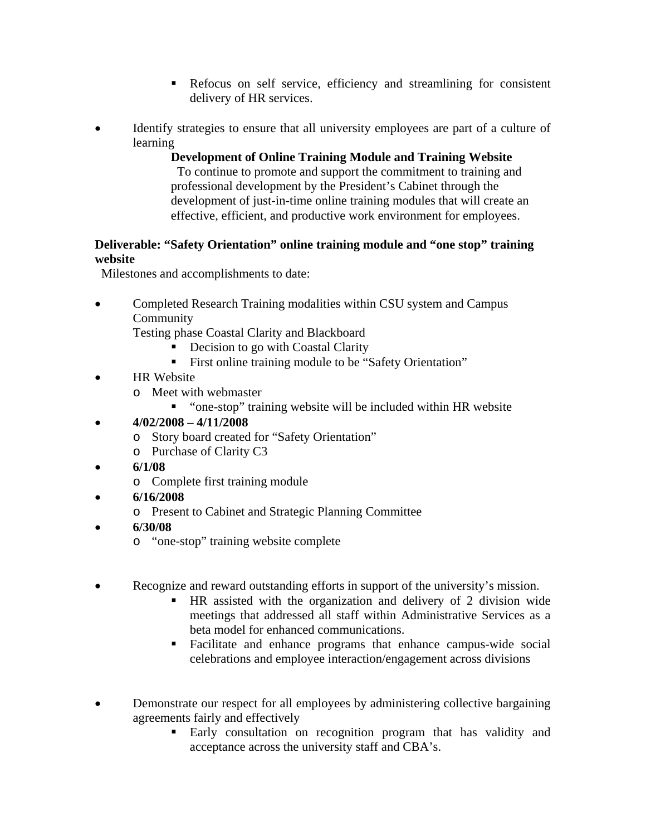- Refocus on self service, efficiency and streamlining for consistent delivery of HR services.
- Identify strategies to ensure that all university employees are part of a culture of learning

**Development of Online Training Module and Training Website** To continue to promote and support the commitment to training and professional development by the President's Cabinet through the development of just-in-time online training modules that will create an effective, efficient, and productive work environment for employees.

## **Deliverable: "Safety Orientation" online training module and "one stop" training website**

Milestones and accomplishments to date:

• Completed Research Training modalities within CSU system and Campus Community

Testing phase Coastal Clarity and Blackboard

- Decision to go with Coastal Clarity
- First online training module to be "Safety Orientation"
- **HR** Website
	- o Meet with webmaster
		- "one-stop" training website will be included within HR website
- **4/02/2008 4/11/2008** 
	- o Story board created for "Safety Orientation"
	- o Purchase of Clarity C3
- **6/1/08** 
	- o Complete first training module
- **6/16/2008** 
	- o Present to Cabinet and Strategic Planning Committee
- **6/30/08** 
	- o "one-stop" training website complete
- Recognize and reward outstanding efforts in support of the university's mission.
	- HR assisted with the organization and delivery of 2 division wide meetings that addressed all staff within Administrative Services as a beta model for enhanced communications.
	- Facilitate and enhance programs that enhance campus-wide social celebrations and employee interaction/engagement across divisions
- Demonstrate our respect for all employees by administering collective bargaining agreements fairly and effectively
	- Early consultation on recognition program that has validity and acceptance across the university staff and CBA's.